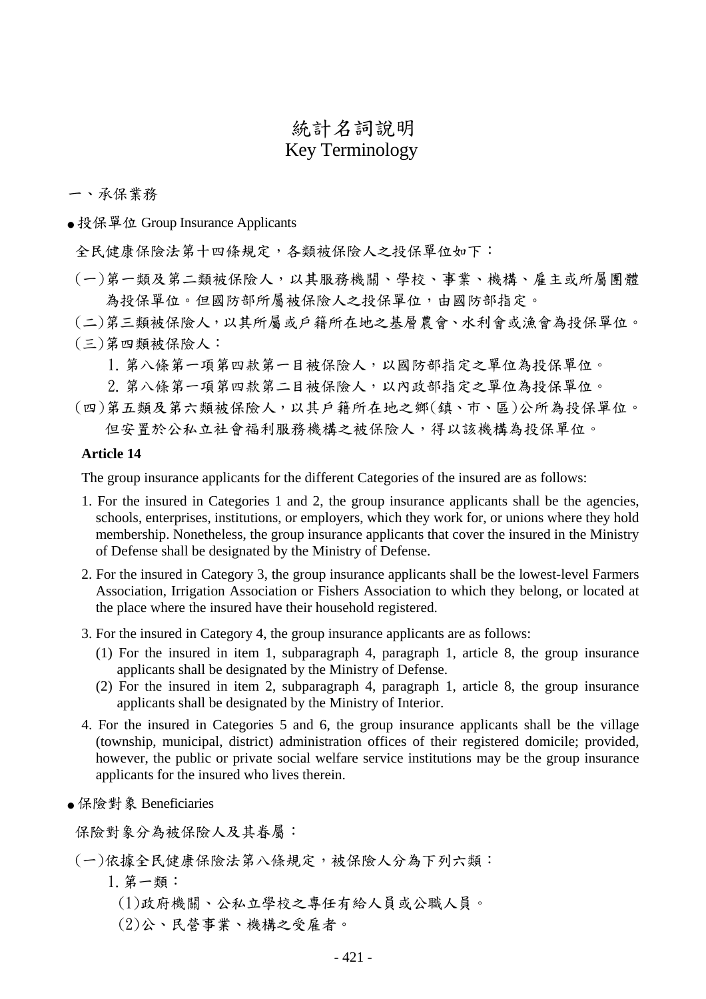# 統計名詞說明 Key Terminology

### 一、承保業務

● 投保單位 Group Insurance Applicants

全民健康保險法第十四條規定,各類被保險人之投保單位如下:

(一)第一類及第二類被保險人,以其服務機關、學校、事業、機構、雇主或所屬團體 為投保單位。但國防部所屬被保險人之投保單位,由國防部指定。

(二)第三類被保險人,以其所屬或戶籍所在地之基層農會、水利會或漁會為投保單位。 (三)第四類被保險人:

1.第八條第一項第四款第一目被保險人,以國防部指定之單位為投保單位。

2.第八條第一項第四款第二目被保險人,以內政部指定之單位為投保單位。

(四)第五類及第六類被保險人,以其戶籍所在地之鄉(鎮、市、區)公所為投保單位。 但安置於公私立社會福利服務機構之被保險人,得以該機構為投保單位。

### **Article 14**

The group insurance applicants for the different Categories of the insured are as follows:

- 1. For the insured in Categories 1 and 2, the group insurance applicants shall be the agencies, schools, enterprises, institutions, or employers, which they work for, or unions where they hold membership. Nonetheless, the group insurance applicants that cover the insured in the Ministry of Defense shall be designated by the Ministry of Defense.
- 2. For the insured in Category 3, the group insurance applicants shall be the lowest-level Farmers Association, Irrigation Association or Fishers Association to which they belong, or located at the place where the insured have their household registered.
- 3. For the insured in Category 4, the group insurance applicants are as follows:
	- (1) For the insured in item 1, subparagraph 4, paragraph 1, article 8, the group insurance applicants shall be designated by the Ministry of Defense.
	- (2) For the insured in item 2, subparagraph 4, paragraph 1, article 8, the group insurance applicants shall be designated by the Ministry of Interior.
- 4. For the insured in Categories 5 and 6, the group insurance applicants shall be the village (township, municipal, district) administration offices of their registered domicile; provided, however, the public or private social welfare service institutions may be the group insurance applicants for the insured who lives therein.
- 保險對象 Beneficiaries

保險對象分為被保險人及其眷屬:

# (一)依據全民健康保險法第八條規定,被保險人分為下列六類:

- 1.第一類:
	- (1)政府機關、公私立學校之專任有給人員或公職人員。
	- (2)公、民營事業、機構之受雇者。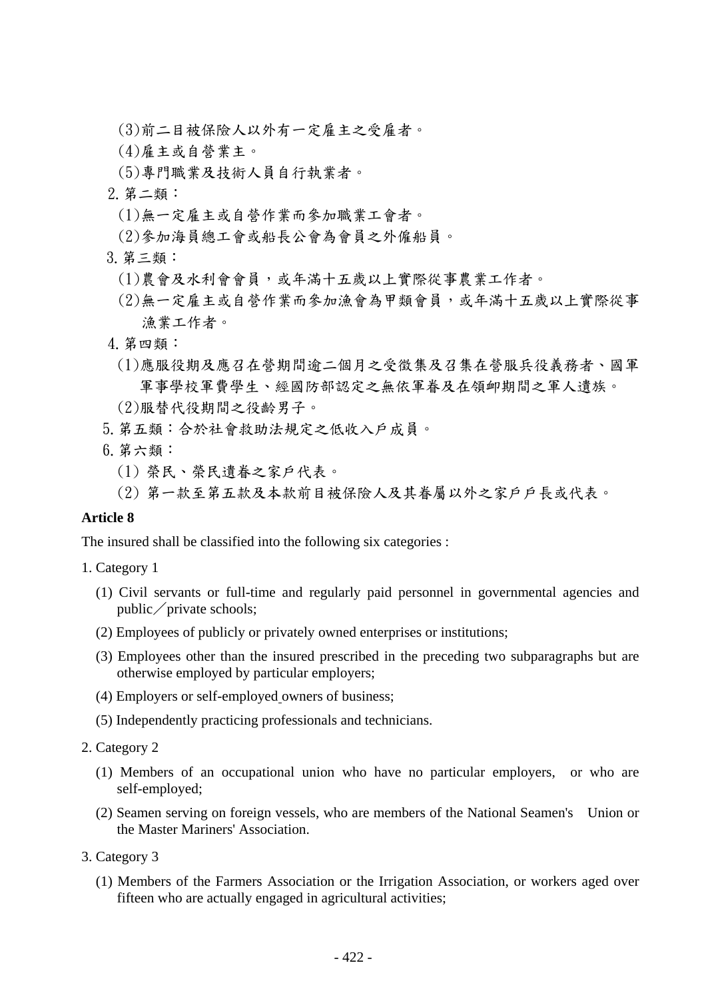- (3)前二目被保險人以外有一定雇主之受雇者。
- (4)雇主或自營業主。
- (5)專門職業及技術人員自行執業者。
- 2.第二類:
	- (1)無一定雇主或自營作業而參加職業工會者。
- (2)參加海員總工會或船長公會為會員之外僱船員。
- 3.第三類:
	- (1)農會及水利會會員,或年滿十五歲以上實際從事農業工作者。
	- (2)無一定雇主或自營作業而參加漁會為甲類會員,或年滿十五歲以上實際從事 漁業工作者。
- 4.第四類:
	- (1)應服役期及應召在營期間逾二個月之受徵集及召集在營服兵役義務者、國軍 軍事學校軍費學生、經國防部認定之無依軍眷及在領卹期間之軍人遺族。
- (2)服替代役期間之役齡男子。
- 5.第五類:合於社會救助法規定之低收入戶成員。
- 6.第六類:
	- (1) 榮民、榮民遺眷之家戶代表。
	- (2) 第一款至第五款及本款前目被保險人及其眷屬以外之家戶戶長或代表。

# **Article 8**

The insured shall be classified into the following six categories :

- 1. Category 1
	- (1) Civil servants or full-time and regularly paid personnel in governmental agencies and  $public / private schools;$
	- (2) Employees of publicly or privately owned enterprises or institutions;
	- (3) Employees other than the insured prescribed in the preceding two subparagraphs but are otherwise employed by particular employers;
	- (4) Employers or self-employed owners of business;
	- (5) Independently practicing professionals and technicians.
- 2. Category 2
	- (1) Members of an occupational union who have no particular employers, or who are self-employed;
	- (2) Seamen serving on foreign vessels, who are members of the National Seamen's Union or the Master Mariners' Association.
- 3. Category 3
	- (1) Members of the Farmers Association or the Irrigation Association, or workers aged over fifteen who are actually engaged in agricultural activities;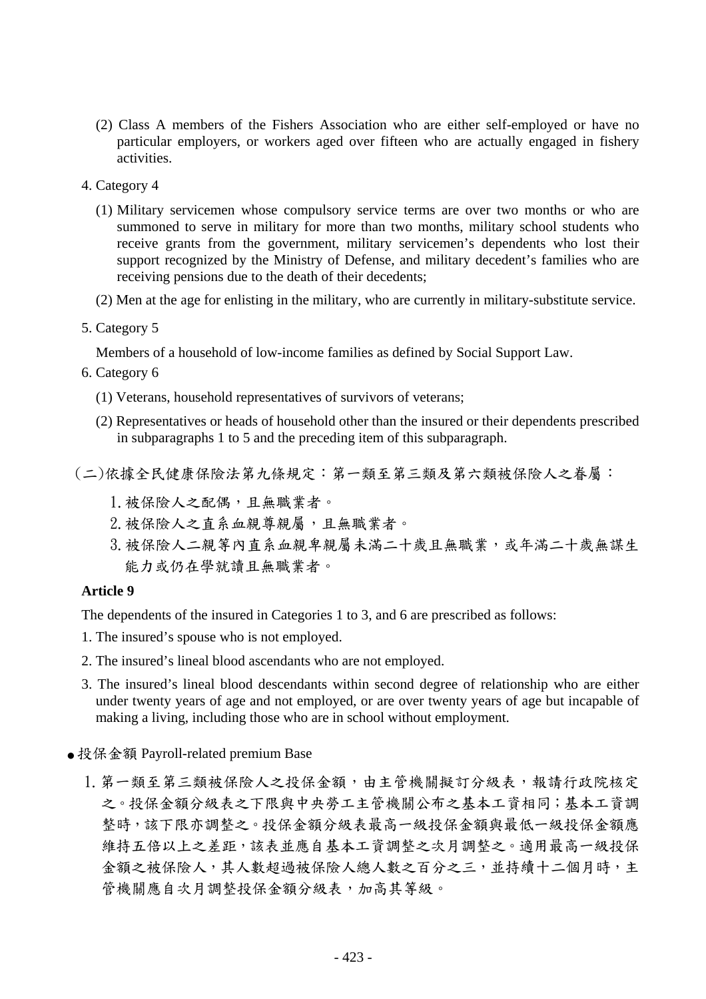- (2) Class A members of the Fishers Association who are either self-employed or have no particular employers, or workers aged over fifteen who are actually engaged in fishery activities.
- 4. Category 4
	- (1) Military servicemen whose compulsory service terms are over two months or who are summoned to serve in military for more than two months, military school students who receive grants from the government, military servicemen's dependents who lost their support recognized by the Ministry of Defense, and military decedent's families who are receiving pensions due to the death of their decedents;
	- (2) Men at the age for enlisting in the military, who are currently in military-substitute service.
- 5. Category 5

Members of a household of low-income families as defined by Social Support Law.

- 6. Category 6
	- (1) Veterans, household representatives of survivors of veterans;
	- (2) Representatives or heads of household other than the insured or their dependents prescribed in subparagraphs 1 to 5 and the preceding item of this subparagraph.
- (二)依據全民健康保險法第九條規定:第一類至第三類及第六類被保險人之眷屬:
	- 1.被保險人之配偶,且無職業者。
	- 2. 被保險人之直系血親尊親屬,且無職業者。
	- 3. 被保險人二親等內直系血親卑親屬未滿二十歲且無職業,或年滿二十歲無謀生 能力或仍在學就讀且無職業者。

### **Article 9**

The dependents of the insured in Categories 1 to 3, and 6 are prescribed as follows:

- 1. The insured's spouse who is not employed.
- 2. The insured's lineal blood ascendants who are not employed.
- 3. The insured's lineal blood descendants within second degree of relationship who are either under twenty years of age and not employed, or are over twenty years of age but incapable of making a living, including those who are in school without employment.
- 投保金額 Payroll-related premium Base
	- 1. 第一類至第三類被保險人之投保金額,由主管機關擬訂分級表,報請行政院核定 之。投保金額分級表之下限與中央勞工主管機關公布之基本工資相同;基本工資調 整時,該下限亦調整之。投保金額分級表最高一級投保金額與低一級投保金額應 維持五倍以上之差距,該表並應自基本工資調整之次月調整之。適用最高一級投保 金額之被保險人,其人數超過被保險人總人數之百分之三,並持續十二個月時,主 管機關應自次月調整投保金額分級表,加高其等級。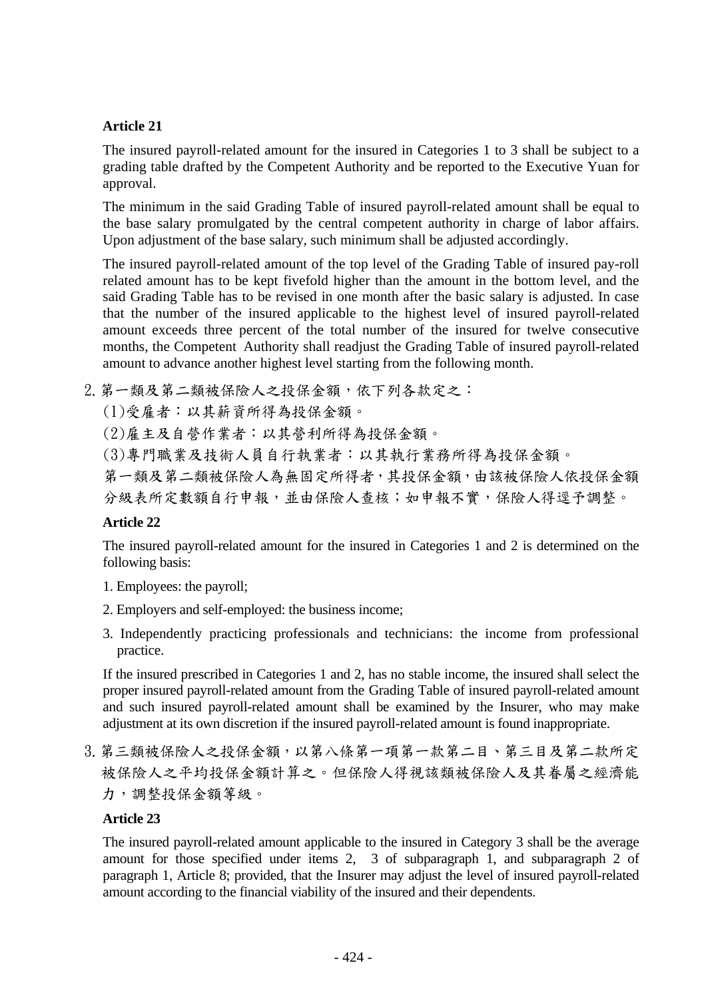# **Article 21**

The insured payroll-related amount for the insured in Categories 1 to 3 shall be subject to a grading table drafted by the Competent Authority and be reported to the Executive Yuan for approval.

The minimum in the said Grading Table of insured payroll-related amount shall be equal to the base salary promulgated by the central competent authority in charge of labor affairs. Upon adjustment of the base salary, such minimum shall be adjusted accordingly.

The insured payroll-related amount of the top level of the Grading Table of insured pay-roll related amount has to be kept fivefold higher than the amount in the bottom level, and the said Grading Table has to be revised in one month after the basic salary is adjusted. In case that the number of the insured applicable to the highest level of insured payroll-related amount exceeds three percent of the total number of the insured for twelve consecutive months, the Competent Authority shall readjust the Grading Table of insured payroll-related amount to advance another highest level starting from the following month.

2. 第一類及第二類被保險人之投保金額,依下列各款定之:

(1)受雇者:以其薪資所得為投保金額。

- (2)雇主及自營作業者:以其營利所得為投保金額。
- (3)專門職業及技術人員自行執業者:以其執行業務所得為投保金額。

第一類及第二類被保險人為無固定所得者,其投保金額,由該被保險人依投保金額 分級表所定數額自行申報,並由保險人查核;如申報不實,保險人得逕予調整。

# **Article 22**

The insured payroll-related amount for the insured in Categories 1 and 2 is determined on the following basis:

- 1. Employees: the payroll;
- 2. Employers and self-employed: the business income;
- 3. Independently practicing professionals and technicians: the income from professional practice.

If the insured prescribed in Categories 1 and 2, has no stable income, the insured shall select the proper insured payroll-related amount from the Grading Table of insured payroll-related amount and such insured payroll-related amount shall be examined by the Insurer, who may make adjustment at its own discretion if the insured payroll-related amount is found inappropriate.

3. 第三類被保險人之投保金額, 以第八條第一項第一款第二目、第三目及第二款所定 被保險人之平均投保金額計算之。但保險人得視該類被保險人及其眷屬之經濟能 力,調整投保金額等級。

# **Article 23**

The insured payroll-related amount applicable to the insured in Category 3 shall be the average amount for those specified under items 2, 3 of subparagraph 1, and subparagraph 2 of paragraph 1, Article 8; provided, that the Insurer may adjust the level of insured payroll-related amount according to the financial viability of the insured and their dependents.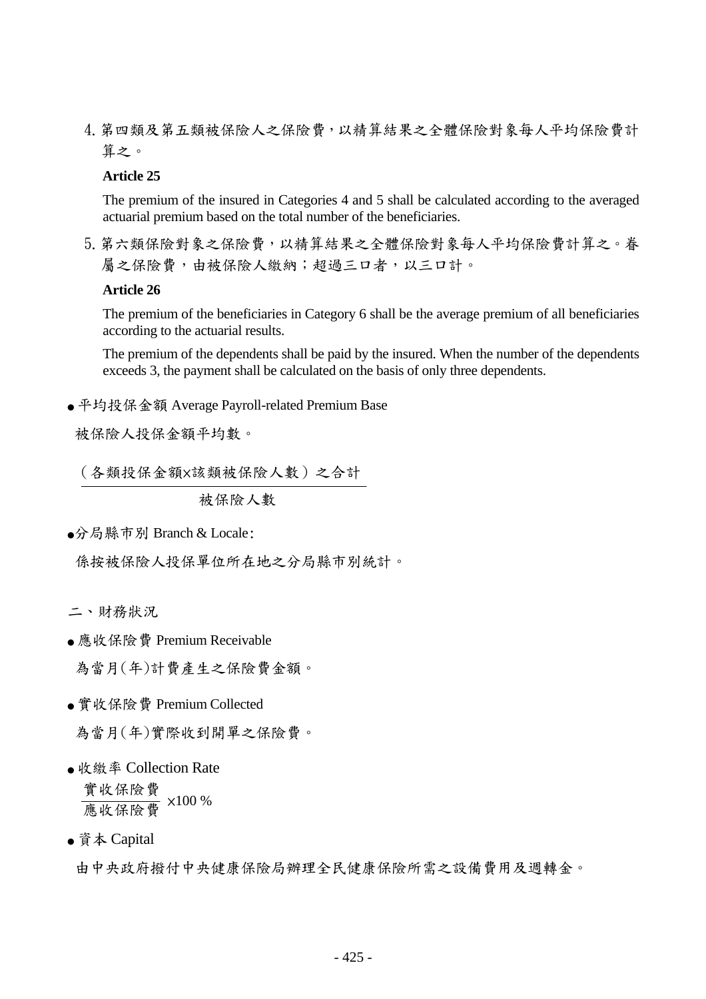4.第四類及第五類被保險人之保險費,以精算結果之全體保險對象每人平均保險費計 算之。

# **Article 25**

The premium of the insured in Categories 4 and 5 shall be calculated according to the averaged actuarial premium based on the total number of the beneficiaries.

5. 第六類保險對象之保險費, 以精算結果之全體保險對象每人平均保險費計算之。眷 屬之保險費,由被保險人繳納;超過三口者,以三口計。

### **Article 26**

The premium of the beneficiaries in Category 6 shall be the average premium of all beneficiaries according to the actuarial results.

The premium of the dependents shall be paid by the insured. When the number of the dependents exceeds 3, the payment shall be calculated on the basis of only three dependents.

● 平均投保金額 Average Payroll-related Premium Base

被保險人投保金額平均數。

 $\ddot{\phantom{0}}$ (各類投保金額×該類被保險人數)之合計

被保險人數

●分局縣市別 Branch & Locale:

係按被保險人投保單位所在地之分局縣市別統計。

- 二、財務狀況
- 應收保險費 Premium Receivable

為當月(年)計費產生之保險費金額。

● 實收保險費 Premium Collected

為當月(年)實際收到開單之保險費。

● 收繳率 Collection Rate

實收保險費 <u>震长你该会</u> ×100 %

● 資本 Capital

由中央政府撥付中央健康保險局辦理全民健康保險所需之設備費用及週轉金。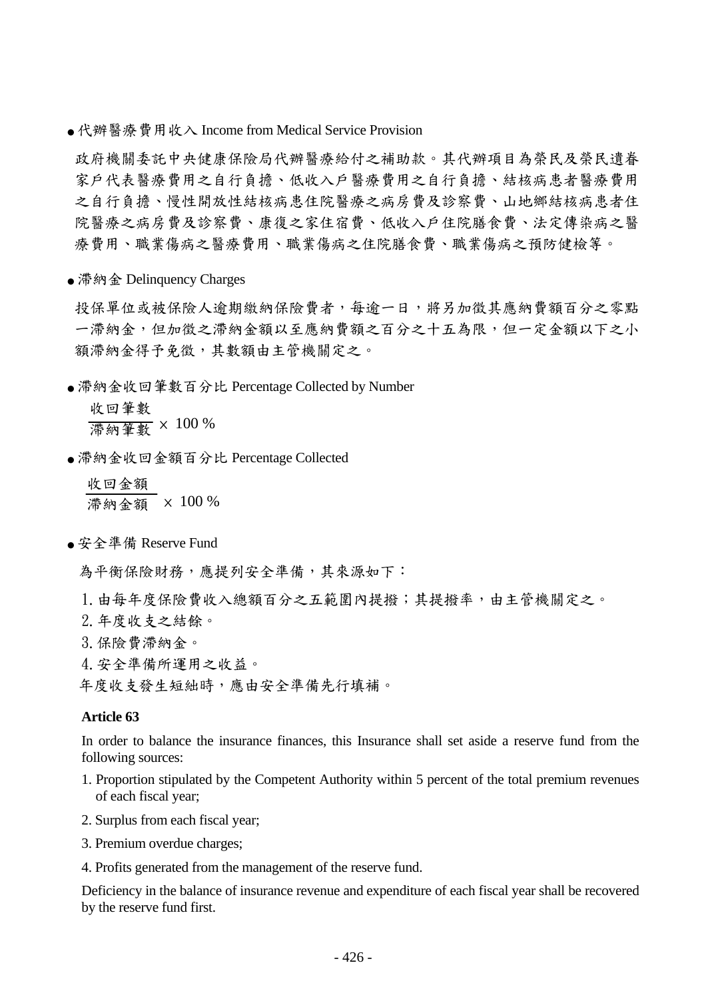● 代辦醫療費用收入 Income from Medical Service Provision

政府機關委託中央健康保險局代辦醫療給付之補助款。其代辦項目為榮民及榮民遺眷 家戶代表醫療費用之自行負擔、結核病患者醫療費用 之自行負擔、慢性開放性結核病患住院醫療之病房費及診察費、山地鄉結核病患者住 院醫療之病房費及診察費、康復之家住宿費、低收入戶住院膳食費、法定傳染病之醫 療費用、職業傷病之醫療費用、職業傷病之住院膳食費、職業傷病之預防健檢等。

● 滯納金 Delinquency Charges

投保單位或被保險人銷保險費者,每逾一日,將另加徵其應納費額百分之零點 一滯納金,但加徵之滯納金額以至應納費額之百分之十五為限,但一定金額以下之小 額滯納金得予免徵,其數額由主管機關定之。

● 滞納金收回筆數百分比 Percentage Collected by Number

 收回筆數 滯納筆數 × 100 %

● 滯納金收回金額百分比 Percentage Collected

 收回金額 滯納金額 × 100 %

● 安全準備 Reserve Fund

為平衡保險財務,應提列安全準備,其來源如下:

1. 由每年度保險費收入總額百分之五範圍內提撥;其提撥率,由主管機關定之。

- 2.年度收支之結餘。
- 3.保險費滯納金。
- 4.安全準備所運用之收益。

年度收支發生短絀時,應由安全準備先行填補。

#### **Article 63**

In order to balance the insurance finances, this Insurance shall set aside a reserve fund from the following sources:

- 1. Proportion stipulated by the Competent Authority within 5 percent of the total premium revenues of each fiscal year;
- 2. Surplus from each fiscal year;
- 3. Premium overdue charges;
- 4. Profits generated from the management of the reserve fund.

Deficiency in the balance of insurance revenue and expenditure of each fiscal year shall be recovered by the reserve fund first.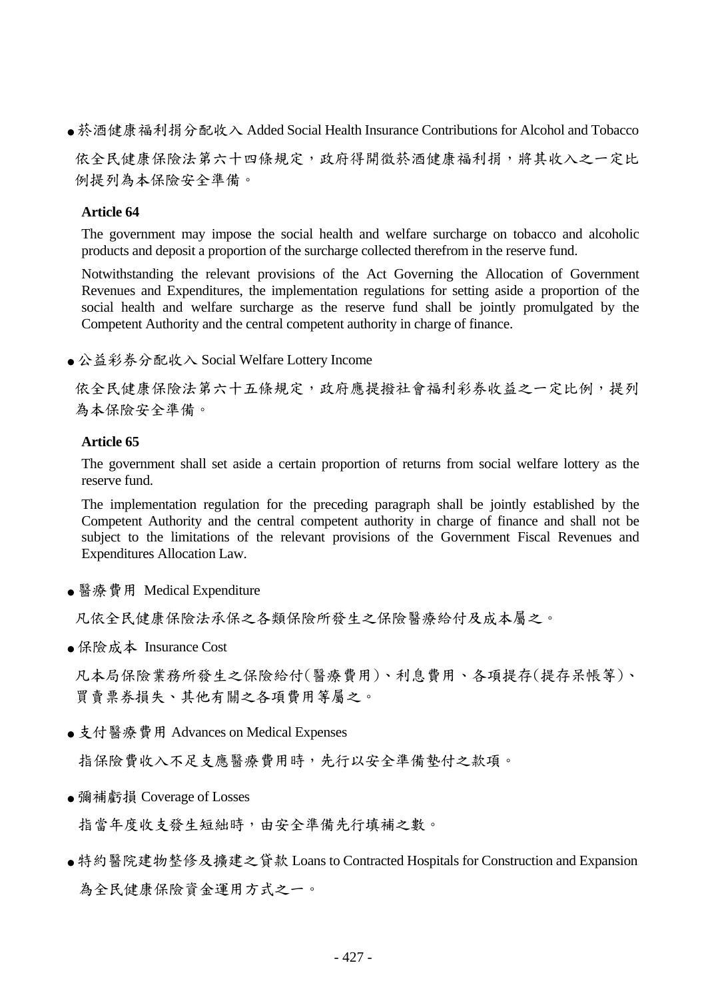● 菸酒健康福利捐分配收入 Added Social Health Insurance Contributions for Alcohol and Tobacco

依全民健康保險法第六十四條規定,政府得開徵菸酒健康福利捐,將其收入之一定比 例提列為本保險安全準備。

### **Article 64**

The government may impose the social health and welfare surcharge on tobacco and alcoholic products and deposit a proportion of the surcharge collected therefrom in the reserve fund.

Notwithstanding the relevant provisions of the Act Governing the Allocation of Government Revenues and Expenditures, the implementation regulations for setting aside a proportion of the social health and welfare surcharge as the reserve fund shall be jointly promulgated by the Competent Authority and the central competent authority in charge of finance.

● 公益彩券分配收入 Social Welfare Lottery Income

依全民健康保險法第六十五條規定,政府應提撥社會福利彩券收益之一定比例,提列 為本保險安全準備。

### **Article 65**

The government shall set aside a certain proportion of returns from social welfare lottery as the reserve fund.

The implementation regulation for the preceding paragraph shall be jointly established by the Competent Authority and the central competent authority in charge of finance and shall not be subject to the limitations of the relevant provisions of the Government Fiscal Revenues and Expenditures Allocation Law.

● 醫療費用 Medical Expenditure

凡依全民健康保險法承保之各類保險所發生之保險醫療給付及成本屬之。

● 保險成本 Insurance Cost

凡本局保險業務所發生之保險給付(醫療費用)、利息費用、各項提存(提存呆帳等)、 買賣票券損失、其他有關之各項費用等屬之。

● 支付醫療費用 Advances on Medical Expenses

指保險費收入不足支應醫療費用時,先行以安全準備墊付之款項。

● 彌補虧損 Coverage of Losses

指當年度收支發生短絀時,由安全準備先行填補之數。

● 特約醫院建物整修及擴建之貸款 Loans to Contracted Hospitals for Construction and Expansion 為全民健康保險資金運用方式之一。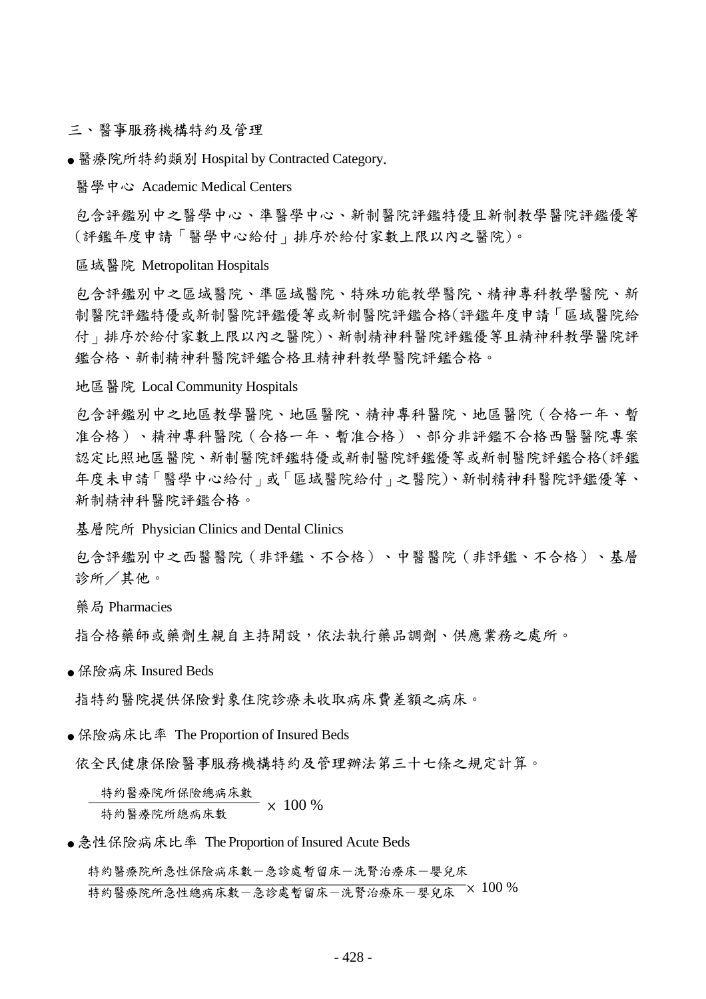三、醫事服務機構特約及管理

● 醫療院所特約類別 Hospital by Contracted Category.

醫學中心 Academic Medical Centers

包含評鑑別中之醫學中心、準醫學中心、新制醫院評鑑特優且新制教學醫院評鑑優等 (評鑑年度申請「醫學中心給付」排序於給付家數上限以內之醫院)。

#### 區域醫院 Metropolitan Hospitals

包含評鑑別中之區域醫院、準區域醫院、特殊功能教學醫院、精神專科教學醫院、新 制醫院評鑑特優或新制醫院評鑑優等或新制醫院評鑑合格(評鑑年度申請「區域醫院給 付」排序於給付家數上限以內之醫院)、新制精神科醫院評鑑優等且精神科教學醫院評 鑑合格、新制精神科醫院評鑑合格且精神科教學醫院評鑑合格。

### 地區醫院 Local Community Hospitals

包含評鑑別中之地區教學醫院、地區醫院、精神專科醫院、地區醫院(合格一年、暫 准合格)、精神專科醫院(合格一年、暫准合格)、部分非評鑑不合格西醫醫院專案 認定比照地區醫院、新制醫院評鑑特優或新制醫院評鑑優等或新制醫院評鑑合格(評鑑 年度未申請「醫學中心給付」或「區域醫院給付」之醫院)、新制精神科醫院評鑑優等、 新制精神科醫院評鑑合格。

基層院所 Physician Clinics and Dental Clinics

包含評鑑別中之西醫醫院(非評鑑、不合格)、中醫醫院(非評鑑、不合格)、基層 診所/其他。

藥局 Pharmacies

指合格藥師或藥劑生親自主持開設,依法執行藥品調劑、供應業務之處所。

● 保險病床 Insured Beds

指特約醫院提供保險對象住院診療未收取病床費差額之病床。

● 保險病床比率 The Proportion of Insured Beds

依全民健康保險醫事服務機構特約及管理辦法第三十七條之規定計算。

特約醫療院所保險總病床數 特約醫療院所總病床數 × 100 %

● 急性保險病床比率 The Proportion of Insured Acute Beds

特約醫療院所急性保險病床數一急診處暫留床一洗腎治療床一嬰兒床 特約醫療院所急性總病床數-急診處暫留床-洗腎治療床-嬰兒床 × 100 %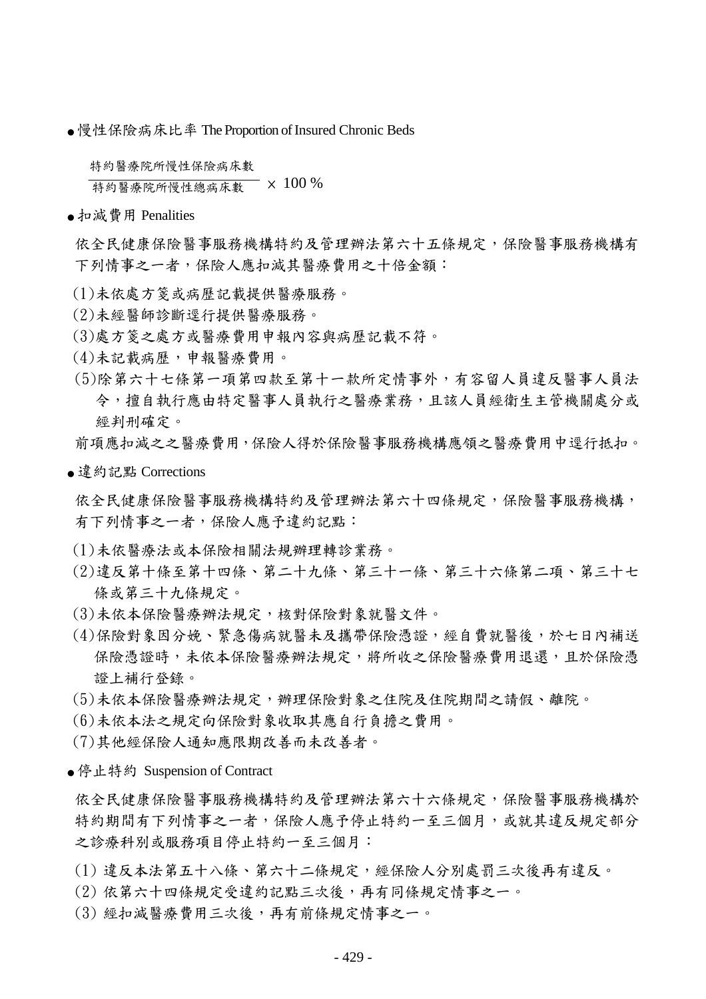● 慢性保險病床比率 The Proportion of Insured Chronic Beds

特約醫療院所慢性保險病床數

**布约醫療院所慢性總病床數 × 100 %** 

● 扣減費用 Penalities

依全民健康保險醫事服務機構特約及管理辦法第六十五條規定,保險醫事服務機構有 下列情事之一者,保險人應扣減其醫療費用之十倍金額:

- (1)未依處方箋或病歷記載提供醫療服務。
- (2)未經醫師診斷逕行提供醫療服務。
- (3)處方箋之處方或醫療費用申報內容與病歷記載不符。
- (4)未記載病歷,申報醫療費用。
- (5)除第六十七條第一項第四款至第十一款所定情事外,有容留人員違反醫事人員法 令,擅自執行應由特定醫事人員執行之醫療業務,且該人員經衛生主管機關處分或 經判刑確定。

前項應扣減之之醫療費用,保險人得於保險醫事服務機構應領之醫療費用中逕行抵扣。

● 違約記點 Corrections

依全民健康保險醫事服務機構特約及管理辦法第六十四條規定,保險醫事服務機構, 有下列情事之一者,保險人應予違約記點:

- (1)未依醫療法或本保險相關法規辦理轉診業務。
- (2)違反第十條至第十四條、第二十九條、第三十一條、第三十六條第二項、第三十七 條或第三十九條規定。
- (3)未依本保險醫療辦法規定,核對保險對象就醫文件。
- (4)保險對象因分娩、緊急傷病就醫未及攜帶保險憑證,經自費就醫後,於七日內補送 保險憑證時,未依本保險醫療辦法規定,將所收之保險醫療費用退還,且於保險憑 證上補行登錄。
- (5)未依本保險醫療辦法規定,辦理保險對象之住院及住院期間之請假、離院。
- (6)未依本法之規定向保險對象收取其應自行負擔之費用。
- (7)其他經保險人通知應限期改善而未改善者。
- 停止特約 Suspension of Contract

依全民健康保險醫事服務機構特約及管理辦法第六十六條規定,保險醫事服務機構於 特約期間有下列情事之一者,保險人應予停止特約一至三個月,或就其違反規定部分 之診療科別或服務項目停止特約一至三個月:

- (1) 違反本法第五十八條、第六十二條規定,經保險人分別處罰三次後再有違反。
- (2) 依第六十四條規定受違約記點三次後,再有同條規定情事之一。
- (3) 經扣減醫療費用三次後,再有前條規定情事之一。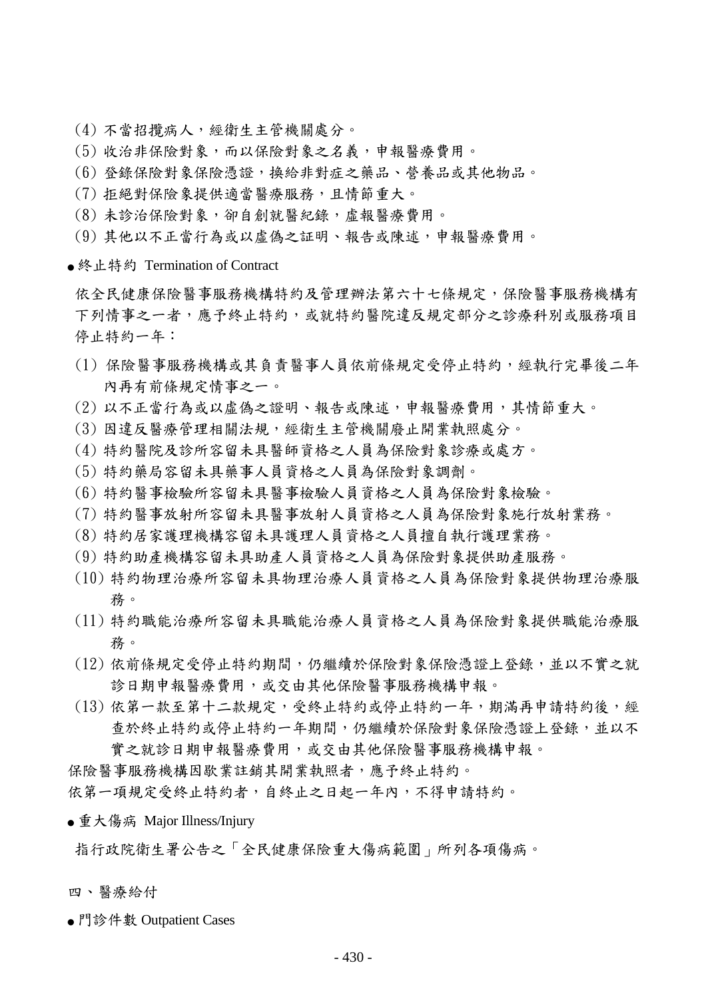- (4) 不當招攬病人,經衛生主管機關處分。
- (5) 收治非保險對象,而以保險對象之名義,申報醫療費用。
- (6) 登錄保險對象保險憑證,換給非對症之藥品、營養品或其他物品。
- (7) 拒絕對保險象提供適當醫療服務,且情節重大。
- (8) 未診治保險對象,卻自創就醫紀錄,虛報醫療費用。
- (9) 其他以不正當行為或以虛偽之証明、報告或陳述,申報醫療費用。
- 終止特約 Termination of Contract

依全民健康保險醫事服務機構特約及管理辦法第六十七條規定,保險醫事服務機構有 下列情事之一者,應予終止特約,或就特約醫院違反規定部分之診療科別或服務項目 停止特約一年:

- (1) 保險醫事服務機構或其負責醫事人員依前條規定受停止特約,經執行完畢後二年 內再有前條規定情事之一。
- (2) 以不正當行為或以虛偽之證明、報告或陳述,申報醫療費用,其情節重大。
- (3) 因違反醫療管理相關法規,經衛生主管機關廢止開業執照處分。
- (4) 特約醫院及診所容留未具醫師資格之人員為保險對象診療或處方。
- (5) 特約藥局容留未具藥事人員資格之人員為保險對象調劑。
- (6) 特約醫事檢驗所容留未具醫事檢驗人員資格之人員為保險對象檢驗。
- (7) 特約醫事放射所容留未具醫事放射人員資格之人員為保險對象施行放射業務。
- (8) 特約居家護理機構容留未具護理人員資格之人員擅自執行護理業務。
- (9) 特約助產機構容留未具助產人員資格之人員為保險對象提供助產服務。
- (10) 特約物理治療所容留未具物理治療人員資格之人員為保險對象提供物理治療服 務。
- (11) 特約職能治療所容留未具職能治療人員資格之人員為保險對象提供職能治療服 務。
- (12) 依前條規定受停止特約期間,仍繼續於保險對象保險憑證上登錄,並以不實之就 診日期申報醫療費用,或交由其他保險醫事服務機構申報。
- (13) 依第一款至第十二款規定,受終止特約或停止特約一年,期滿再申請特約後,經 查於終止特約或停止特約一年期間,仍繼續於保險對象保險憑證上登錄,並以不 實之就診日期申報醫療費用,或交由其他保險醫事服務機構申報。

保險醫事服務機構因歇業註銷其開業執照者,應予終止特約。

依第一項規定受終止特約者,自終止之日起一年內,不得申請特約。

● 重大傷病 Major Illness/Injury

指行政院衛生署公告之「全民健康保險重大傷病範圍」所列各項傷病。

- 四、醫療給付
- 門診件數 Outpatient Cases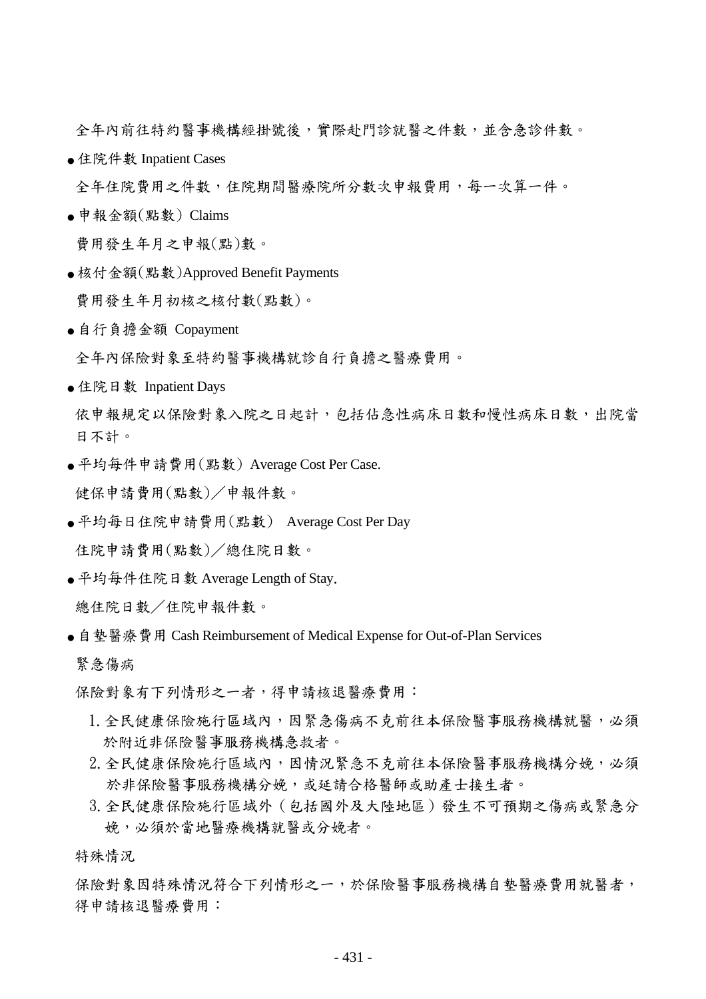全年內前往特約醫事機構經掛號後,實際赴門診就醫之件數,並含急診件數。

● 住院件數 Inpatient Cases

全年住院費用之件數,住院期間醫療院所分數次申報費用,每一次算一件。

 $\bullet$  申報金額 $($ 點數) Claims

費用發生年月之申報(點)數。

- 核付金額(點數)Approved Benefit Payments 費用發生年月初核之核付數(點數)。
- 自行負擔金額 Copayment

全年內保險對象至特約醫事機構就診自行負擔之醫療費用。

● 住院日數 Inpatient Days

依申報規定以保險對象入院之日起計,包括佔急性病床日數和慢性病床日數,出院當 日不計。

- 平均每件申請費用(點數) Average Cost Per Case. 健保申請費用(點數)/申報件數。
- 平均每日住院申請費用(點數) Average Cost Per Day 住院申請費用(點數)/總住院日數。
- 平均每件住院日數 Average Length of Stay. 總住院日數/住院申報件數。
- 自墊醫療費用 Cash Reimbursement of Medical Expense for Out-of-Plan Services 緊急傷病

保險對象有下列情形之一者,得申請核退醫療費用:

- 1.全民健康保險施行區域內,因緊急傷病不克前往本保險醫事服務機構就醫,必須 於附近非保險醫事服務機構急救者。
- 2.全民健康保險施行區域內,因情況緊急不克前往本保險醫事服務機構分娩,必須 於非保險醫事服務機構分娩,或延請合格醫師或助產士接生者。
- 3.全民健康保險施行區域外(包括國外及大陸地區)發生不可預期之傷病或緊急分 娩,必須於當地醫療機構就醫或分娩者。

特殊情況

保險對象因特殊情況符合下列情形之一,於保險醫事服務機構自墊醫療費用就醫者, 得申請核退醫療費用: